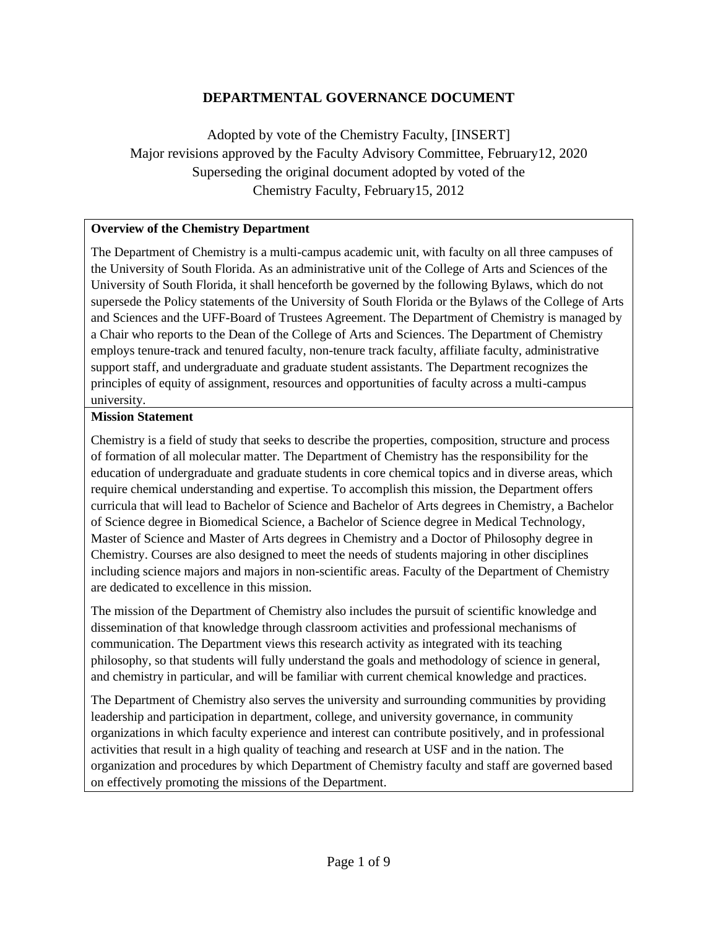#### **DEPARTMENTAL GOVERNANCE DOCUMENT**

Adopted by vote of the Chemistry Faculty, [INSERT] Major revisions approved by the Faculty Advisory Committee, February12, 2020 Superseding the original document adopted by voted of the Chemistry Faculty, February15, 2012

#### **Overview of the Chemistry Department**

The Department of Chemistry is a multi-campus academic unit, with faculty on all three campuses of the University of South Florida. As an administrative unit of the College of Arts and Sciences of the University of South Florida, it shall henceforth be governed by the following Bylaws, which do not supersede the Policy statements of the University of South Florida or the Bylaws of the College of Arts and Sciences and the UFF-Board of Trustees Agreement. The Department of Chemistry is managed by a Chair who reports to the Dean of the College of Arts and Sciences. The Department of Chemistry employs tenure-track and tenured faculty, non-tenure track faculty, affiliate faculty, administrative support staff, and undergraduate and graduate student assistants. The Department recognizes the principles of equity of assignment, resources and opportunities of faculty across a multi-campus university.

#### **Mission Statement**

Chemistry is a field of study that seeks to describe the properties, composition, structure and process of formation of all molecular matter. The Department of Chemistry has the responsibility for the education of undergraduate and graduate students in core chemical topics and in diverse areas, which require chemical understanding and expertise. To accomplish this mission, the Department offers curricula that will lead to Bachelor of Science and Bachelor of Arts degrees in Chemistry, a Bachelor of Science degree in Biomedical Science, a Bachelor of Science degree in Medical Technology, Master of Science and Master of Arts degrees in Chemistry and a Doctor of Philosophy degree in Chemistry. Courses are also designed to meet the needs of students majoring in other disciplines including science majors and majors in non-scientific areas. Faculty of the Department of Chemistry are dedicated to excellence in this mission.

The mission of the Department of Chemistry also includes the pursuit of scientific knowledge and dissemination of that knowledge through classroom activities and professional mechanisms of communication. The Department views this research activity as integrated with its teaching philosophy, so that students will fully understand the goals and methodology of science in general, and chemistry in particular, and will be familiar with current chemical knowledge and practices.

The Department of Chemistry also serves the university and surrounding communities by providing leadership and participation in department, college, and university governance, in community organizations in which faculty experience and interest can contribute positively, and in professional activities that result in a high quality of teaching and research at USF and in the nation. The organization and procedures by which Department of Chemistry faculty and staff are governed based on effectively promoting the missions of the Department.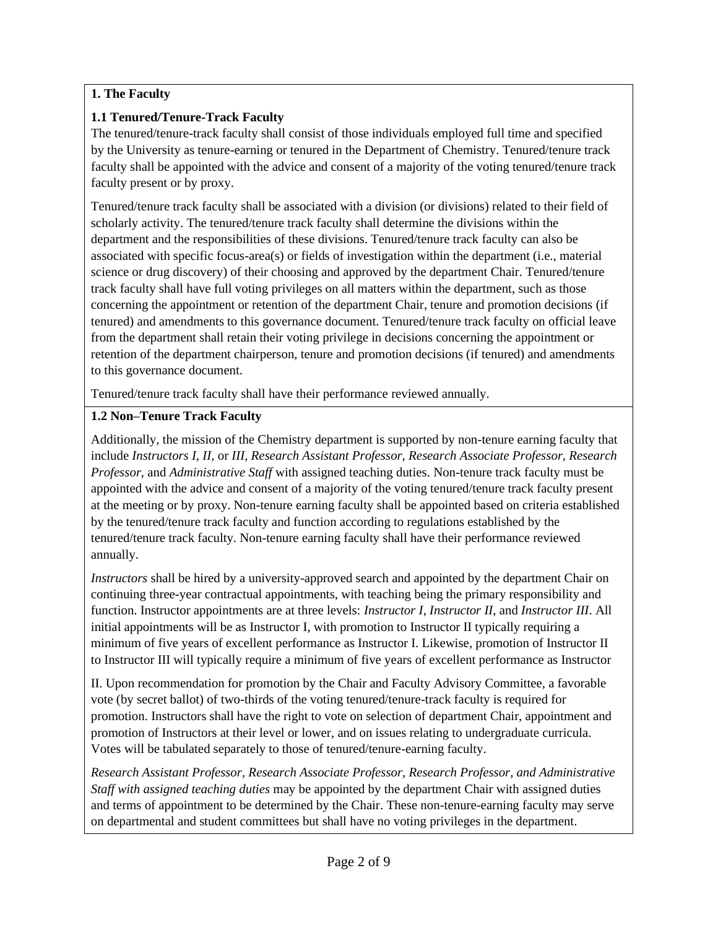## **1. The Faculty**

#### **1.1 Tenured/Tenure-Track Faculty**

The tenured/tenure-track faculty shall consist of those individuals employed full time and specified by the University as tenure-earning or tenured in the Department of Chemistry. Tenured/tenure track faculty shall be appointed with the advice and consent of a majority of the voting tenured/tenure track faculty present or by proxy.

Tenured/tenure track faculty shall be associated with a division (or divisions) related to their field of scholarly activity. The tenured/tenure track faculty shall determine the divisions within the department and the responsibilities of these divisions. Tenured/tenure track faculty can also be associated with specific focus-area(s) or fields of investigation within the department (i.e., material science or drug discovery) of their choosing and approved by the department Chair. Tenured/tenure track faculty shall have full voting privileges on all matters within the department, such as those concerning the appointment or retention of the department Chair, tenure and promotion decisions (if tenured) and amendments to this governance document. Tenured/tenure track faculty on official leave from the department shall retain their voting privilege in decisions concerning the appointment or retention of the department chairperson, tenure and promotion decisions (if tenured) and amendments to this governance document.

Tenured/tenure track faculty shall have their performance reviewed annually.

## **1.2 Non–Tenure Track Faculty**

Additionally, the mission of the Chemistry department is supported by non-tenure earning faculty that include *Instructors I, II,* or *III, Research Assistant Professor, Research Associate Professor, Research Professor*, and *Administrative Staff* with assigned teaching duties. Non-tenure track faculty must be appointed with the advice and consent of a majority of the voting tenured/tenure track faculty present at the meeting or by proxy. Non-tenure earning faculty shall be appointed based on criteria established by the tenured/tenure track faculty and function according to regulations established by the tenured/tenure track faculty. Non-tenure earning faculty shall have their performance reviewed annually.

*Instructors* shall be hired by a university-approved search and appointed by the department Chair on continuing three-year contractual appointments, with teaching being the primary responsibility and function. Instructor appointments are at three levels: *Instructor I*, *Instructor II*, and *Instructor III*. All initial appointments will be as Instructor I, with promotion to Instructor II typically requiring a minimum of five years of excellent performance as Instructor I. Likewise, promotion of Instructor II to Instructor III will typically require a minimum of five years of excellent performance as Instructor

II. Upon recommendation for promotion by the Chair and Faculty Advisory Committee, a favorable vote (by secret ballot) of two-thirds of the voting tenured/tenure-track faculty is required for promotion. Instructors shall have the right to vote on selection of department Chair, appointment and promotion of Instructors at their level or lower, and on issues relating to undergraduate curricula. Votes will be tabulated separately to those of tenured/tenure-earning faculty.

*Research Assistant Professor, Research Associate Professor, Research Professor, and Administrative Staff with assigned teaching duties* may be appointed by the department Chair with assigned duties and terms of appointment to be determined by the Chair. These non-tenure-earning faculty may serve on departmental and student committees but shall have no voting privileges in the department.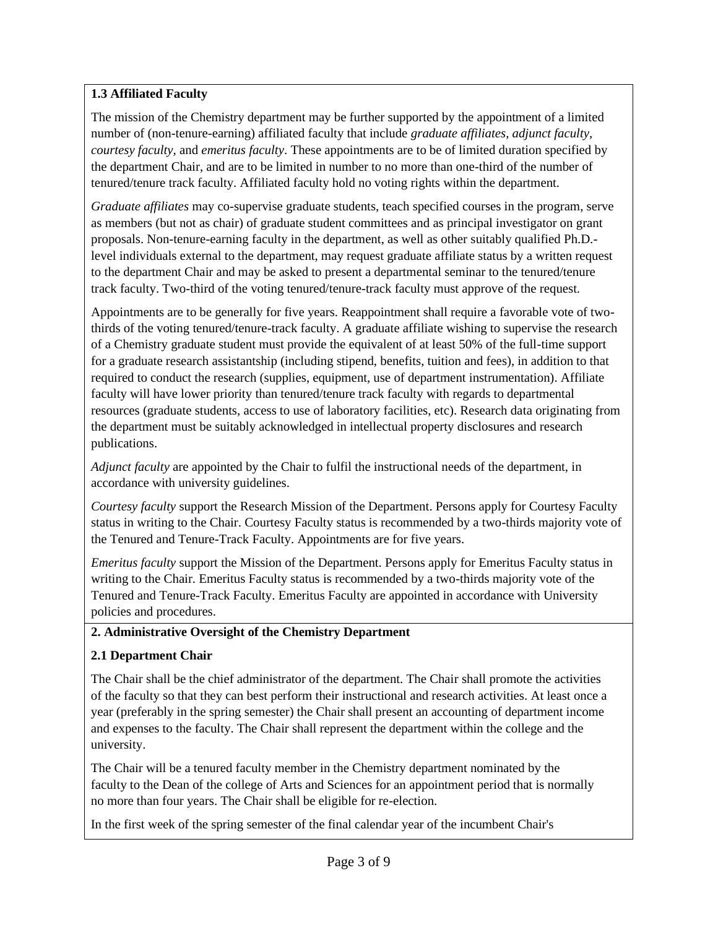## **1.3 Affiliated Faculty**

The mission of the Chemistry department may be further supported by the appointment of a limited number of (non-tenure-earning) affiliated faculty that include *graduate affiliates, adjunct faculty, courtesy faculty,* and *emeritus faculty*. These appointments are to be of limited duration specified by the department Chair, and are to be limited in number to no more than one-third of the number of tenured/tenure track faculty. Affiliated faculty hold no voting rights within the department.

*Graduate affiliates* may co-supervise graduate students, teach specified courses in the program, serve as members (but not as chair) of graduate student committees and as principal investigator on grant proposals. Non-tenure-earning faculty in the department, as well as other suitably qualified Ph.D. level individuals external to the department, may request graduate affiliate status by a written request to the department Chair and may be asked to present a departmental seminar to the tenured/tenure track faculty. Two-third of the voting tenured/tenure-track faculty must approve of the request.

Appointments are to be generally for five years. Reappointment shall require a favorable vote of twothirds of the voting tenured/tenure-track faculty. A graduate affiliate wishing to supervise the research of a Chemistry graduate student must provide the equivalent of at least 50% of the full-time support for a graduate research assistantship (including stipend, benefits, tuition and fees), in addition to that required to conduct the research (supplies, equipment, use of department instrumentation). Affiliate faculty will have lower priority than tenured/tenure track faculty with regards to departmental resources (graduate students, access to use of laboratory facilities, etc). Research data originating from the department must be suitably acknowledged in intellectual property disclosures and research publications.

*Adjunct faculty* are appointed by the Chair to fulfil the instructional needs of the department, in accordance with university guidelines.

*Courtesy faculty* support the Research Mission of the Department. Persons apply for Courtesy Faculty status in writing to the Chair. Courtesy Faculty status is recommended by a two-thirds majority vote of the Tenured and Tenure-Track Faculty. Appointments are for five years.

*Emeritus faculty* support the Mission of the Department. Persons apply for Emeritus Faculty status in writing to the Chair. Emeritus Faculty status is recommended by a two-thirds majority vote of the Tenured and Tenure-Track Faculty. Emeritus Faculty are appointed in accordance with University policies and procedures.

#### **2. Administrative Oversight of the Chemistry Department**

## **2.1 Department Chair**

The Chair shall be the chief administrator of the department. The Chair shall promote the activities of the faculty so that they can best perform their instructional and research activities. At least once a year (preferably in the spring semester) the Chair shall present an accounting of department income and expenses to the faculty. The Chair shall represent the department within the college and the university.

The Chair will be a tenured faculty member in the Chemistry department nominated by the faculty to the Dean of the college of Arts and Sciences for an appointment period that is normally no more than four years. The Chair shall be eligible for re-election.

In the first week of the spring semester of the final calendar year of the incumbent Chair's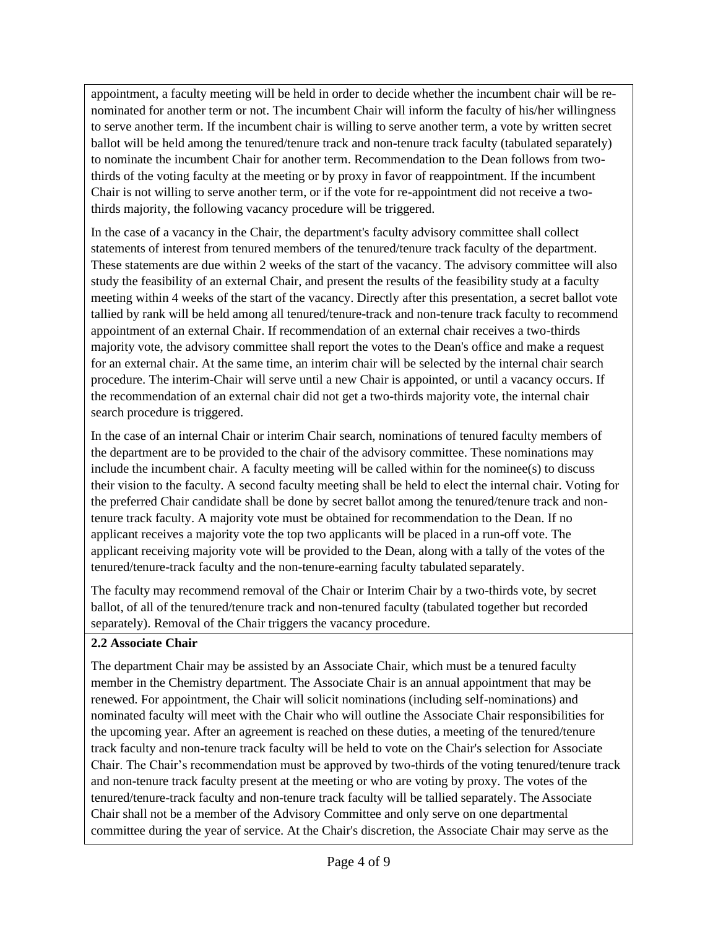appointment, a faculty meeting will be held in order to decide whether the incumbent chair will be renominated for another term or not. The incumbent Chair will inform the faculty of his/her willingness to serve another term. If the incumbent chair is willing to serve another term, a vote by written secret ballot will be held among the tenured/tenure track and non-tenure track faculty (tabulated separately) to nominate the incumbent Chair for another term. Recommendation to the Dean follows from twothirds of the voting faculty at the meeting or by proxy in favor of reappointment. If the incumbent Chair is not willing to serve another term, or if the vote for re-appointment did not receive a twothirds majority, the following vacancy procedure will be triggered.

In the case of a vacancy in the Chair, the department's faculty advisory committee shall collect statements of interest from tenured members of the tenured/tenure track faculty of the department. These statements are due within 2 weeks of the start of the vacancy. The advisory committee will also study the feasibility of an external Chair, and present the results of the feasibility study at a faculty meeting within 4 weeks of the start of the vacancy. Directly after this presentation, a secret ballot vote tallied by rank will be held among all tenured/tenure-track and non-tenure track faculty to recommend appointment of an external Chair. If recommendation of an external chair receives a two-thirds majority vote, the advisory committee shall report the votes to the Dean's office and make a request for an external chair. At the same time, an interim chair will be selected by the internal chair search procedure. The interim-Chair will serve until a new Chair is appointed, or until a vacancy occurs. If the recommendation of an external chair did not get a two-thirds majority vote, the internal chair search procedure is triggered.

In the case of an internal Chair or interim Chair search, nominations of tenured faculty members of the department are to be provided to the chair of the advisory committee. These nominations may include the incumbent chair. A faculty meeting will be called within for the nominee( $s$ ) to discuss their vision to the faculty. A second faculty meeting shall be held to elect the internal chair. Voting for the preferred Chair candidate shall be done by secret ballot among the tenured/tenure track and nontenure track faculty. A majority vote must be obtained for recommendation to the Dean. If no applicant receives a majority vote the top two applicants will be placed in a run-off vote. The applicant receiving majority vote will be provided to the Dean, along with a tally of the votes of the tenured/tenure-track faculty and the non-tenure-earning faculty tabulated separately.

The faculty may recommend removal of the Chair or Interim Chair by a two-thirds vote, by secret ballot, of all of the tenured/tenure track and non-tenured faculty (tabulated together but recorded separately). Removal of the Chair triggers the vacancy procedure.

#### **2.2 Associate Chair**

The department Chair may be assisted by an Associate Chair, which must be a tenured faculty member in the Chemistry department. The Associate Chair is an annual appointment that may be renewed. For appointment, the Chair will solicit nominations (including self-nominations) and nominated faculty will meet with the Chair who will outline the Associate Chair responsibilities for the upcoming year. After an agreement is reached on these duties, a meeting of the tenured/tenure track faculty and non-tenure track faculty will be held to vote on the Chair's selection for Associate Chair. The Chair's recommendation must be approved by two-thirds of the voting tenured/tenure track and non-tenure track faculty present at the meeting or who are voting by proxy. The votes of the tenured/tenure-track faculty and non-tenure track faculty will be tallied separately. The Associate Chair shall not be a member of the Advisory Committee and only serve on one departmental committee during the year of service. At the Chair's discretion, the Associate Chair may serve as the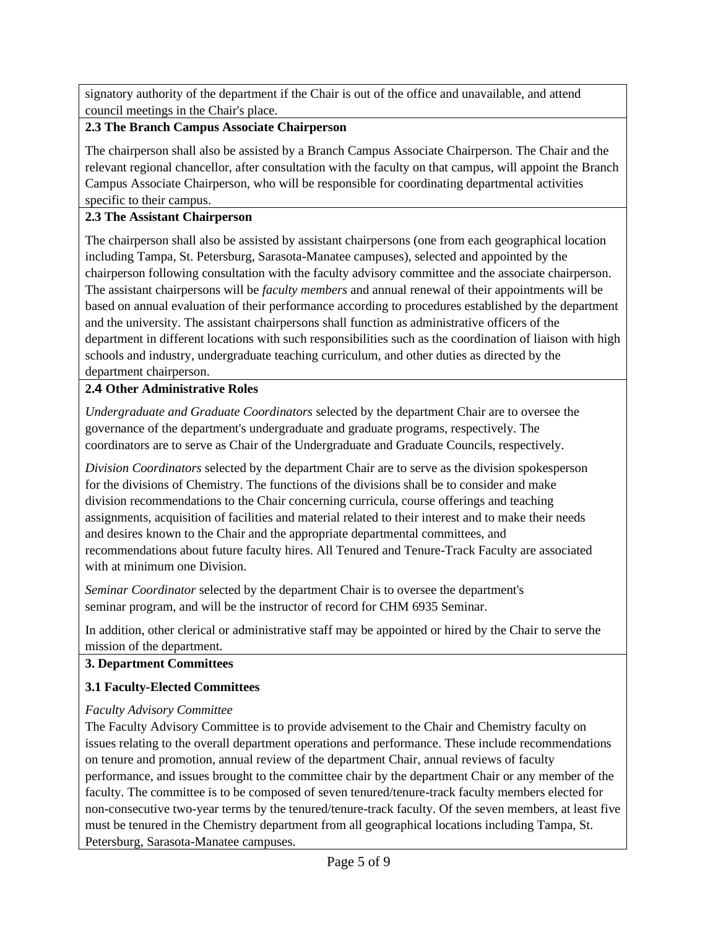signatory authority of the department if the Chair is out of the office and unavailable, and attend council meetings in the Chair's place.

#### **2.3 The Branch Campus Associate Chairperson**

The chairperson shall also be assisted by a Branch Campus Associate Chairperson. The Chair and the relevant regional chancellor, after consultation with the faculty on that campus, will appoint the Branch Campus Associate Chairperson, who will be responsible for coordinating departmental activities specific to their campus.

#### **2.3 The Assistant Chairperson**

The chairperson shall also be assisted by assistant chairpersons (one from each geographical location including Tampa, St. Petersburg, Sarasota-Manatee campuses), selected and appointed by the chairperson following consultation with the faculty advisory committee and the associate chairperson. The assistant chairpersons will be *faculty members* and annual renewal of their appointments will be based on annual evaluation of their performance according to procedures established by the department and the university. The assistant chairpersons shall function as administrative officers of the department in different locations with such responsibilities such as the coordination of liaison with high schools and industry, undergraduate teaching curriculum, and other duties as directed by the department chairperson.

## **2.4 Other Administrative Roles**

*Undergraduate and Graduate Coordinators* selected by the department Chair are to oversee the governance of the department's undergraduate and graduate programs, respectively. The coordinators are to serve as Chair of the Undergraduate and Graduate Councils, respectively.

*Division Coordinators* selected by the department Chair are to serve as the division spokesperson for the divisions of Chemistry. The functions of the divisions shall be to consider and make division recommendations to the Chair concerning curricula, course offerings and teaching assignments, acquisition of facilities and material related to their interest and to make their needs and desires known to the Chair and the appropriate departmental committees, and recommendations about future faculty hires. All Tenured and Tenure-Track Faculty are associated with at minimum one Division.

*Seminar Coordinator* selected by the department Chair is to oversee the department's seminar program, and will be the instructor of record for CHM 6935 Seminar.

In addition, other clerical or administrative staff may be appointed or hired by the Chair to serve the mission of the department.

## **3. Department Committees**

## **3.1 Faculty-Elected Committees**

## *Faculty Advisory Committee*

The Faculty Advisory Committee is to provide advisement to the Chair and Chemistry faculty on issues relating to the overall department operations and performance. These include recommendations on tenure and promotion, annual review of the department Chair, annual reviews of faculty performance, and issues brought to the committee chair by the department Chair or any member of the faculty. The committee is to be composed of seven tenured/tenure-track faculty members elected for non-consecutive two-year terms by the tenured/tenure-track faculty. Of the seven members, at least five must be tenured in the Chemistry department from all geographical locations including Tampa, St. Petersburg, Sarasota-Manatee campuses.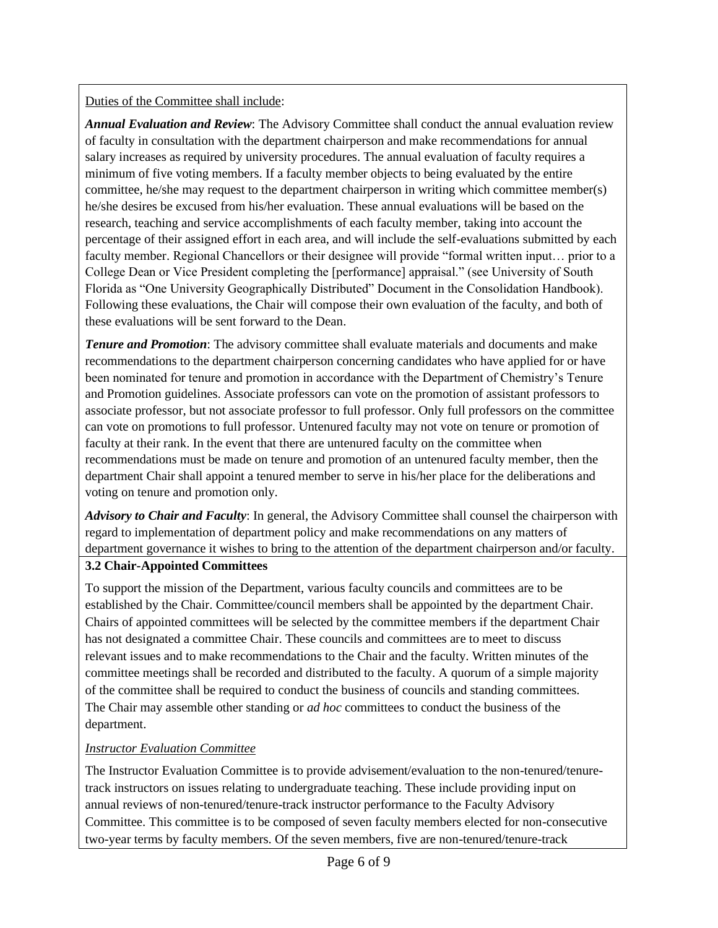Duties of the Committee shall include:

*Annual Evaluation and Review*: The Advisory Committee shall conduct the annual evaluation review of faculty in consultation with the department chairperson and make recommendations for annual salary increases as required by university procedures. The annual evaluation of faculty requires a minimum of five voting members. If a faculty member objects to being evaluated by the entire committee, he/she may request to the department chairperson in writing which committee member(s) he/she desires be excused from his/her evaluation. These annual evaluations will be based on the research, teaching and service accomplishments of each faculty member, taking into account the percentage of their assigned effort in each area, and will include the self-evaluations submitted by each faculty member. Regional Chancellors or their designee will provide "formal written input… prior to a College Dean or Vice President completing the [performance] appraisal." (see University of South Florida as "One University Geographically Distributed" Document in the Consolidation Handbook). Following these evaluations, the Chair will compose their own evaluation of the faculty, and both of these evaluations will be sent forward to the Dean.

*Tenure and Promotion*: The advisory committee shall evaluate materials and documents and make recommendations to the department chairperson concerning candidates who have applied for or have been nominated for tenure and promotion in accordance with the Department of Chemistry's Tenure and Promotion guidelines. Associate professors can vote on the promotion of assistant professors to associate professor, but not associate professor to full professor. Only full professors on the committee can vote on promotions to full professor. Untenured faculty may not vote on tenure or promotion of faculty at their rank. In the event that there are untenured faculty on the committee when recommendations must be made on tenure and promotion of an untenured faculty member, then the department Chair shall appoint a tenured member to serve in his/her place for the deliberations and voting on tenure and promotion only.

*Advisory to Chair and Faculty*: In general, the Advisory Committee shall counsel the chairperson with regard to implementation of department policy and make recommendations on any matters of department governance it wishes to bring to the attention of the department chairperson and/or faculty.

#### **3.2 Chair-Appointed Committees**

To support the mission of the Department, various faculty councils and committees are to be established by the Chair. Committee/council members shall be appointed by the department Chair. Chairs of appointed committees will be selected by the committee members if the department Chair has not designated a committee Chair. These councils and committees are to meet to discuss relevant issues and to make recommendations to the Chair and the faculty. Written minutes of the committee meetings shall be recorded and distributed to the faculty. A quorum of a simple majority of the committee shall be required to conduct the business of councils and standing committees. The Chair may assemble other standing or *ad hoc* committees to conduct the business of the department.

#### *Instructor Evaluation Committee*

The Instructor Evaluation Committee is to provide advisement/evaluation to the non-tenured/tenuretrack instructors on issues relating to undergraduate teaching. These include providing input on annual reviews of non-tenured/tenure-track instructor performance to the Faculty Advisory Committee. This committee is to be composed of seven faculty members elected for non-consecutive two-year terms by faculty members. Of the seven members, five are non-tenured/tenure-track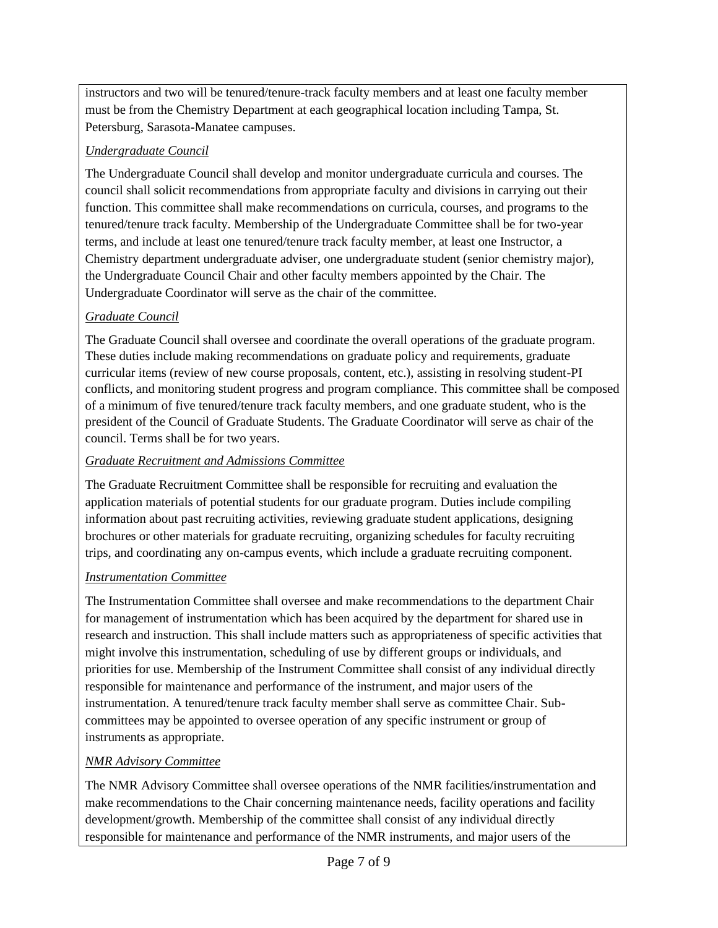instructors and two will be tenured/tenure-track faculty members and at least one faculty member must be from the Chemistry Department at each geographical location including Tampa, St. Petersburg, Sarasota-Manatee campuses.

## *Undergraduate Council*

The Undergraduate Council shall develop and monitor undergraduate curricula and courses. The council shall solicit recommendations from appropriate faculty and divisions in carrying out their function. This committee shall make recommendations on curricula, courses, and programs to the tenured/tenure track faculty. Membership of the Undergraduate Committee shall be for two-year terms, and include at least one tenured/tenure track faculty member, at least one Instructor, a Chemistry department undergraduate adviser, one undergraduate student (senior chemistry major), the Undergraduate Council Chair and other faculty members appointed by the Chair. The Undergraduate Coordinator will serve as the chair of the committee.

# *Graduate Council*

The Graduate Council shall oversee and coordinate the overall operations of the graduate program. These duties include making recommendations on graduate policy and requirements, graduate curricular items (review of new course proposals, content, etc.), assisting in resolving student-PI conflicts, and monitoring student progress and program compliance. This committee shall be composed of a minimum of five tenured/tenure track faculty members, and one graduate student, who is the president of the Council of Graduate Students. The Graduate Coordinator will serve as chair of the council. Terms shall be for two years.

## *Graduate Recruitment and Admissions Committee*

The Graduate Recruitment Committee shall be responsible for recruiting and evaluation the application materials of potential students for our graduate program. Duties include compiling information about past recruiting activities, reviewing graduate student applications, designing brochures or other materials for graduate recruiting, organizing schedules for faculty recruiting trips, and coordinating any on-campus events, which include a graduate recruiting component.

# *Instrumentation Committee*

The Instrumentation Committee shall oversee and make recommendations to the department Chair for management of instrumentation which has been acquired by the department for shared use in research and instruction. This shall include matters such as appropriateness of specific activities that might involve this instrumentation, scheduling of use by different groups or individuals, and priorities for use. Membership of the Instrument Committee shall consist of any individual directly responsible for maintenance and performance of the instrument, and major users of the instrumentation. A tenured/tenure track faculty member shall serve as committee Chair. Subcommittees may be appointed to oversee operation of any specific instrument or group of instruments as appropriate.

## *NMR Advisory Committee*

The NMR Advisory Committee shall oversee operations of the NMR facilities/instrumentation and make recommendations to the Chair concerning maintenance needs, facility operations and facility development/growth. Membership of the committee shall consist of any individual directly responsible for maintenance and performance of the NMR instruments, and major users of the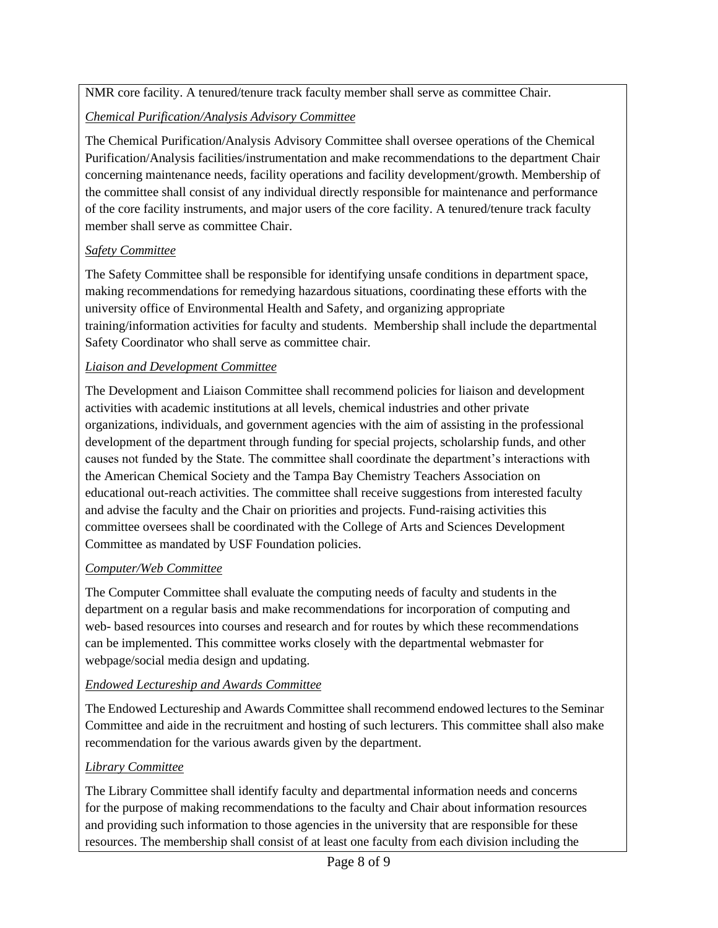NMR core facility. A tenured/tenure track faculty member shall serve as committee Chair.

## *Chemical Purification/Analysis Advisory Committee*

The Chemical Purification/Analysis Advisory Committee shall oversee operations of the Chemical Purification/Analysis facilities/instrumentation and make recommendations to the department Chair concerning maintenance needs, facility operations and facility development/growth. Membership of the committee shall consist of any individual directly responsible for maintenance and performance of the core facility instruments, and major users of the core facility. A tenured/tenure track faculty member shall serve as committee Chair.

## *Safety Committee*

The Safety Committee shall be responsible for identifying unsafe conditions in department space, making recommendations for remedying hazardous situations, coordinating these efforts with the university office of Environmental Health and Safety, and organizing appropriate training/information activities for faculty and students. Membership shall include the departmental Safety Coordinator who shall serve as committee chair.

## *Liaison and Development Committee*

The Development and Liaison Committee shall recommend policies for liaison and development activities with academic institutions at all levels, chemical industries and other private organizations, individuals, and government agencies with the aim of assisting in the professional development of the department through funding for special projects, scholarship funds, and other causes not funded by the State. The committee shall coordinate the department's interactions with the American Chemical Society and the Tampa Bay Chemistry Teachers Association on educational out-reach activities. The committee shall receive suggestions from interested faculty and advise the faculty and the Chair on priorities and projects. Fund-raising activities this committee oversees shall be coordinated with the College of Arts and Sciences Development Committee as mandated by USF Foundation policies.

# *Computer/Web Committee*

The Computer Committee shall evaluate the computing needs of faculty and students in the department on a regular basis and make recommendations for incorporation of computing and web- based resources into courses and research and for routes by which these recommendations can be implemented. This committee works closely with the departmental webmaster for webpage/social media design and updating.

# *Endowed Lectureship and Awards Committee*

The Endowed Lectureship and Awards Committee shall recommend endowed lectures to the Seminar Committee and aide in the recruitment and hosting of such lecturers. This committee shall also make recommendation for the various awards given by the department.

# *Library Committee*

The Library Committee shall identify faculty and departmental information needs and concerns for the purpose of making recommendations to the faculty and Chair about information resources and providing such information to those agencies in the university that are responsible for these resources. The membership shall consist of at least one faculty from each division including the